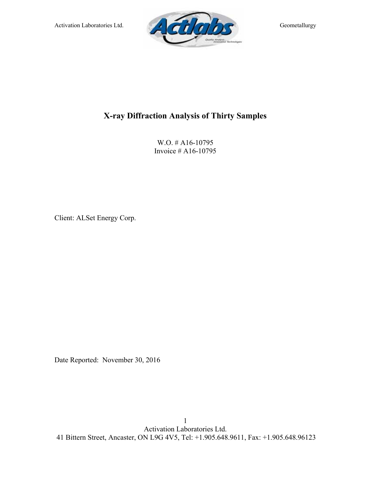

## **X-ray Diffraction Analysis of Thirty Samples**

W.O. # A16-10795 Invoice # A16-10795

Client: ALSet Energy Corp.

Date Reported: November 30, 2016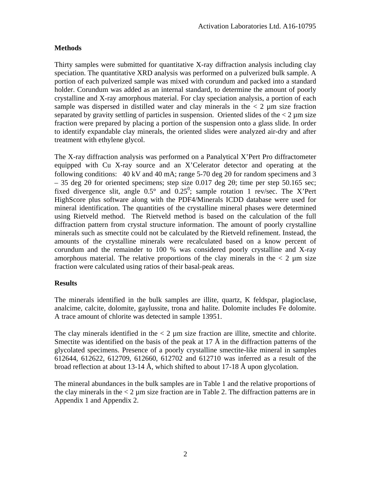## **Methods**

Thirty samples were submitted for quantitative X-ray diffraction analysis including clay speciation. The quantitative XRD analysis was performed on a pulverized bulk sample. A portion of each pulverized sample was mixed with corundum and packed into a standard holder. Corundum was added as an internal standard, to determine the amount of poorly crystalline and X-ray amorphous material. For clay speciation analysis, a portion of each sample was dispersed in distilled water and clay minerals in the  $\lt 2$  µm size fraction separated by gravity settling of particles in suspension. Oriented slides of the  $\lt 2 \mu m$  size fraction were prepared by placing a portion of the suspension onto a glass slide. In order to identify expandable clay minerals, the oriented slides were analyzed air-dry and after treatment with ethylene glycol.

The X-ray diffraction analysis was performed on a Panalytical X'Pert Pro diffractometer equipped with Cu X-ray source and an X'Celerator detector and operating at the following conditions: 40 kV and 40 mA; range 5-70 deg 2θ for random specimens and 3  $-35$  deg 2θ for oriented specimens; step size 0.017 deg 2θ; time per step 50.165 sec; fixed divergence slit, angle  $0.5^{\circ}$  and  $0.25^{\circ}$ ; sample rotation 1 rev/sec. The X'Pert HighScore plus software along with the PDF4/Minerals ICDD database were used for mineral identification. The quantities of the crystalline mineral phases were determined using Rietveld method. The Rietveld method is based on the calculation of the full diffraction pattern from crystal structure information. The amount of poorly crystalline minerals such as smectite could not be calculated by the Rietveld refinement. Instead, the amounts of the crystalline minerals were recalculated based on a know percent of corundum and the remainder to 100 % was considered poorly crystalline and X-ray amorphous material. The relative proportions of the clay minerals in the  $\lt 2 \mu m$  size fraction were calculated using ratios of their basal-peak areas.

## **Results**

The minerals identified in the bulk samples are illite, quartz, K feldspar, plagioclase, analcime, calcite, dolomite, gaylussite, trona and halite. Dolomite includes Fe dolomite. A trace amount of chlorite was detected in sample 13951.

The clay minerals identified in the  $\lt 2$  µm size fraction are illite, smectite and chlorite. Smectite was identified on the basis of the peak at 17  $\AA$  in the diffraction patterns of the glycolated specimens. Presence of a poorly crystalline smectite-like mineral in samples 612644, 612622, 612709, 612660, 612702 and 612710 was inferred as a result of the broad reflection at about 13-14 Å, which shifted to about 17-18 Å upon glycolation.

The mineral abundances in the bulk samples are in Table 1 and the relative proportions of the clay minerals in the  $\lt 2$  µm size fraction are in Table 2. The diffraction patterns are in Appendix 1 and Appendix 2.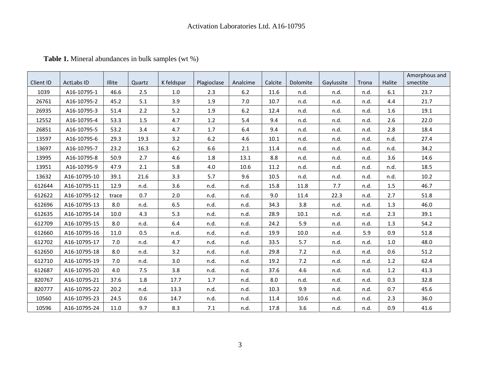|           |                   |        |        |            |             |          |         |          |            |       |        | Amorphous and |
|-----------|-------------------|--------|--------|------------|-------------|----------|---------|----------|------------|-------|--------|---------------|
| Client ID | <b>ActLabs ID</b> | Illite | Quartz | K feldspar | Plagioclase | Analcime | Calcite | Dolomite | Gaylussite | Trona | Halite | smectite      |
| 1039      | A16-10795-1       | 46.6   | 2.5    | 1.0        | 2.3         | 6.2      | 11.6    | n.d.     | n.d.       | n.d.  | 6.1    | 23.7          |
| 26761     | A16-10795-2       | 45.2   | 5.1    | 3.9        | 1.9         | 7.0      | 10.7    | n.d.     | n.d.       | n.d.  | 4.4    | 21.7          |
| 26935     | A16-10795-3       | 51.4   | 2.2    | 5.2        | 1.9         | $6.2$    | 12.4    | n.d.     | n.d.       | n.d.  | 1.6    | 19.1          |
| 12552     | A16-10795-4       | 53.3   | 1.5    | 4.7        | 1.2         | 5.4      | 9.4     | n.d.     | n.d.       | n.d.  | 2.6    | 22.0          |
| 26851     | A16-10795-5       | 53.2   | 3.4    | 4.7        | 1.7         | 6.4      | 9.4     | n.d.     | n.d.       | n.d.  | 2.8    | 18.4          |
| 13597     | A16-10795-6       | 29.3   | 19.3   | 3.2        | 6.2         | 4.6      | 10.1    | n.d.     | n.d.       | n.d.  | n.d.   | 27.4          |
| 13697     | A16-10795-7       | 23.2   | 16.3   | $6.2$      | 6.6         | 2.1      | 11.4    | n.d.     | n.d.       | n.d.  | n.d.   | 34.2          |
| 13995     | A16-10795-8       | 50.9   | 2.7    | 4.6        | 1.8         | 13.1     | 8.8     | n.d.     | n.d.       | n.d.  | 3.6    | 14.6          |
| 13951     | A16-10795-9       | 47.9   | 2.1    | 5.8        | 4.0         | 10.6     | 11.2    | n.d.     | n.d.       | n.d.  | n.d.   | 18.5          |
| 13632     | A16-10795-10      | 39.1   | 21.6   | 3.3        | 5.7         | 9.6      | 10.5    | n.d.     | n.d.       | n.d.  | n.d.   | 10.2          |
| 612644    | A16-10795-11      | 12.9   | n.d.   | 3.6        | n.d.        | n.d.     | 15.8    | 11.8     | 7.7        | n.d.  | 1.5    | 46.7          |
| 612622    | A16-10795-12      | trace  | 0.7    | 2.0        | n.d.        | n.d.     | 9.0     | 11.4     | 22.3       | n.d.  | 2.7    | 51.8          |
| 612696    | A16-10795-13      | 8.0    | n.d.   | 6.5        | n.d.        | n.d.     | 34.3    | 3.8      | n.d.       | n.d.  | 1.3    | 46.0          |
| 612635    | A16-10795-14      | 10.0   | 4.3    | 5.3        | n.d.        | n.d.     | 28.9    | $10.1\,$ | n.d.       | n.d.  | 2.3    | 39.1          |
| 612709    | A16-10795-15      | 8.0    | n.d.   | 6.4        | n.d.        | n.d.     | 24.2    | 5.9      | n.d.       | n.d.  | 1.3    | 54.2          |
| 612660    | A16-10795-16      | 11.0   | 0.5    | n.d.       | n.d.        | n.d.     | 19.9    | 10.0     | n.d.       | 5.9   | 0.9    | 51.8          |
| 612702    | A16-10795-17      | 7.0    | n.d.   | 4.7        | n.d.        | n.d.     | 33.5    | 5.7      | n.d.       | n.d.  | 1.0    | 48.0          |
| 612650    | A16-10795-18      | 8.0    | n.d.   | 3.2        | n.d.        | n.d.     | 29.8    | 7.2      | n.d.       | n.d.  | 0.6    | 51.2          |
| 612710    | A16-10795-19      | 7.0    | n.d.   | 3.0        | n.d.        | n.d.     | 19.2    | 7.2      | n.d.       | n.d.  | 1.2    | 62.4          |
| 612687    | A16-10795-20      | 4.0    | 7.5    | 3.8        | n.d.        | n.d.     | 37.6    | 4.6      | n.d.       | n.d.  | 1.2    | 41.3          |
| 820767    | A16-10795-21      | 37.6   | 1.8    | 17.7       | 1.7         | n.d.     | 8.0     | n.d.     | n.d.       | n.d.  | 0.3    | 32.8          |
| 820777    | A16-10795-22      | 20.2   | n.d.   | 13.3       | n.d.        | n.d.     | 10.3    | 9.9      | n.d.       | n.d.  | 0.7    | 45.6          |
| 10560     | A16-10795-23      | 24.5   | 0.6    | 14.7       | n.d.        | n.d.     | 11.4    | 10.6     | n.d.       | n.d.  | 2.3    | 36.0          |
| 10596     | A16-10795-24      | 11.0   | 9.7    | 8.3        | $7.1$       | n.d.     | 17.8    | 3.6      | n.d.       | n.d.  | 0.9    | 41.6          |

**Table 1.** Mineral abundances in bulk samples (wt %)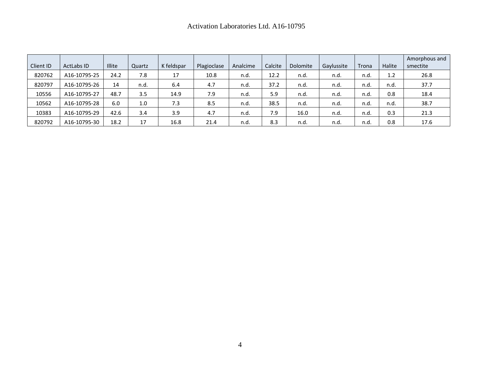| Client ID | <b>ActLabs ID</b> | <b>Illite</b> | Quartz | K feldspar | Plagioclase | Analcime | Calcite | Dolomite | Gaylussite | Trona | <b>Halite</b> | Amorphous and<br>smectite |
|-----------|-------------------|---------------|--------|------------|-------------|----------|---------|----------|------------|-------|---------------|---------------------------|
| 820762    | A16-10795-25      | 24.2          | 7.8    | 17         | 10.8        | n.d.     | 12.2    | n.d.     | n.d.       | n.d.  | 1.2           | 26.8                      |
| 820797    | A16-10795-26      | 14            | n.d.   | 6.4        | 4.7         | n.d.     | 37.2    | n.d.     | n.d.       | n.d.  | n.d.          | 37.7                      |
| 10556     | A16-10795-27      | 48.7          | 3.5    | 14.9       | 7.9         | n.d.     | 5.9     | n.d.     | n.d.       | n.d.  | 0.8           | 18.4                      |
| 10562     | A16-10795-28      | 6.0           | 1.0    | 7.3        | 8.5         | n.d.     | 38.5    | n.d      | n.d.       | n.d   | n.d.          | 38.7                      |
| 10383     | A16-10795-29      | 42.6          | 3.4    | 3.9        | 4.7         | n.d.     | 7.9     | 16.0     | n.d.       | n.d.  | 0.3           | 21.3                      |
| 820792    | A16-10795-30      | 18.2          | 17     | 16.8       | 21.4        | n.d.     | 8.3     | n.d      | n.d        | n.d   | 0.8           | 17.6                      |